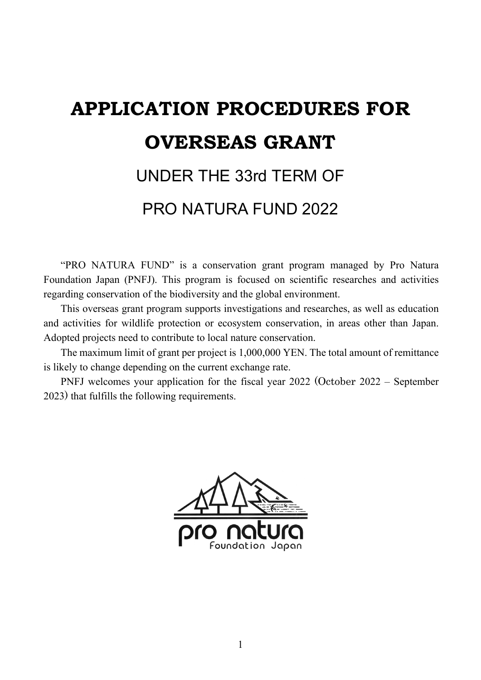# **APPLICATION PROCEDURES FOR OVERSEAS GRANT** UNDER THE 33rd TERM OF PRO NATURA FUND 2022

"PRO NATURA FUND" is a conservation grant program managed by Pro Natura Foundation Japan (PNFJ). This program is focused on scientific researches and activities regarding conservation of the biodiversity and the global environment.

This overseas grant program supports investigations and researches, as well as education and activities for wildlife protection or ecosystem conservation, in areas other than Japan. Adopted projects need to contribute to local nature conservation.

The maximum limit of grant per project is 1,000,000 YEN. The total amount of remittance is likely to change depending on the current exchange rate.

PNFJ welcomes your application for the fiscal year 2022 (October 2022 – September 2023) that fulfills the following requirements.

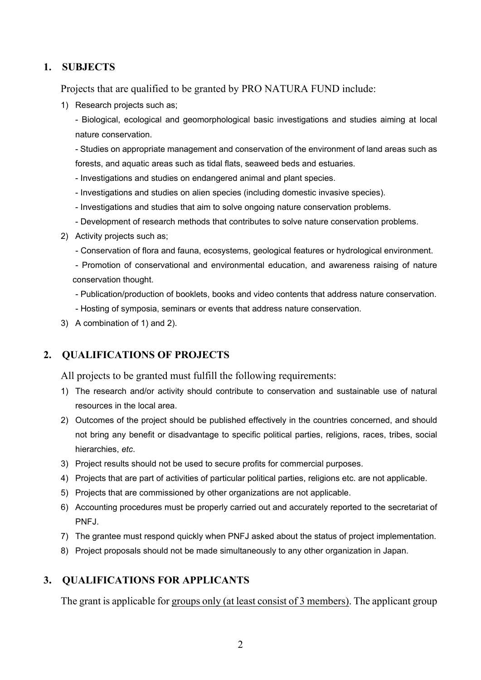#### **1. SUBJECTS**

Projects that are qualified to be granted by PRO NATURA FUND include:

- 1) Research projects such as;
	- Biological, ecological and geomorphological basic investigations and studies aiming at local nature conservation.

- Studies on appropriate management and conservation of the environment of land areas such as forests, and aquatic areas such as tidal flats, seaweed beds and estuaries.

- Investigations and studies on endangered animal and plant species.
- Investigations and studies on alien species (including domestic invasive species).
- Investigations and studies that aim to solve ongoing nature conservation problems.
- Development of research methods that contributes to solve nature conservation problems.
- 2) Activity projects such as;
	- Conservation of flora and fauna, ecosystems, geological features or hydrological environment.

- Promotion of conservational and environmental education, and awareness raising of nature conservation thought.

- Publication/production of booklets, books and video contents that address nature conservation.

- Hosting of symposia, seminars or events that address nature conservation.
- 3) A combination of 1) and 2).

## **2. QUALIFICATIONS OF PROJECTS**

All projects to be granted must fulfill the following requirements:

- 1) The research and/or activity should contribute to conservation and sustainable use of natural resources in the local area.
- 2) Outcomes of the project should be published effectively in the countries concerned, and should not bring any benefit or disadvantage to specific political parties, religions, races, tribes, social hierarchies, *etc*.
- 3) Project results should not be used to secure profits for commercial purposes.
- 4) Projects that are part of activities of particular political parties, religions etc. are not applicable.
- 5) Projects that are commissioned by other organizations are not applicable.
- 6) Accounting procedures must be properly carried out and accurately reported to the secretariat of PNFJ.
- 7) The grantee must respond quickly when PNFJ asked about the status of project implementation.
- 8) Project proposals should not be made simultaneously to any other organization in Japan.

## **3. QUALIFICATIONS FOR APPLICANTS**

The grant is applicable for groups only (at least consist of 3 members). The applicant group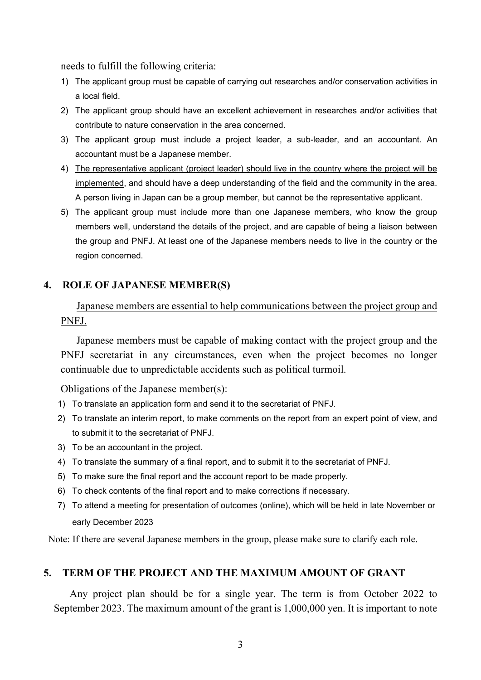needs to fulfill the following criteria:

- 1) The applicant group must be capable of carrying out researches and/or conservation activities in a local field.
- 2) The applicant group should have an excellent achievement in researches and/or activities that contribute to nature conservation in the area concerned.
- 3) The applicant group must include a project leader, a sub-leader, and an accountant. An accountant must be a Japanese member.
- 4) The representative applicant (project leader) should live in the country where the project will be implemented, and should have a deep understanding of the field and the community in the area. A person living in Japan can be a group member, but cannot be the representative applicant.
- 5) The applicant group must include more than one Japanese members, who know the group members well, understand the details of the project, and are capable of being a liaison between the group and PNFJ. At least one of the Japanese members needs to live in the country or the region concerned.

#### **4. ROLE OF JAPANESE MEMBER(S)**

Japanese members are essential to help communications between the project group and PNFJ.

Japanese members must be capable of making contact with the project group and the PNFJ secretariat in any circumstances, even when the project becomes no longer continuable due to unpredictable accidents such as political turmoil.

Obligations of the Japanese member(s):

- 1) To translate an application form and send it to the secretariat of PNFJ.
- 2) To translate an interim report, to make comments on the report from an expert point of view, and to submit it to the secretariat of PNFJ.
- 3) To be an accountant in the project.
- 4) To translate the summary of a final report, and to submit it to the secretariat of PNFJ.
- 5) To make sure the final report and the account report to be made properly.
- 6) To check contents of the final report and to make corrections if necessary.
- 7) To attend a meeting for presentation of outcomes (online), which will be held in late November or early December 2023

Note: If there are several Japanese members in the group, please make sure to clarify each role.

#### **5. TERM OF THE PROJECT AND THE MAXIMUM AMOUNT OF GRANT**

Any project plan should be for a single year. The term is from October 2022 to September 2023. The maximum amount of the grant is 1,000,000 yen. It is important to note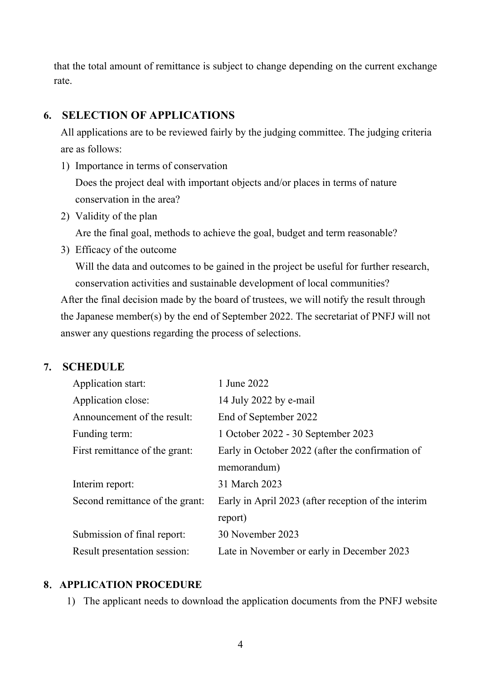that the total amount of remittance is subject to change depending on the current exchange rate.

## **6. SELECTION OF APPLICATIONS**

All applications are to be reviewed fairly by the judging committee. The judging criteria are as follows:

- 1) Importance in terms of conservation Does the project deal with important objects and/or places in terms of nature conservation in the area?
- 2) Validity of the plan

Are the final goal, methods to achieve the goal, budget and term reasonable?

3) Efficacy of the outcome

Will the data and outcomes to be gained in the project be useful for further research, conservation activities and sustainable development of local communities?

After the final decision made by the board of trustees, we will notify the result through the Japanese member(s) by the end of September 2022. The secretariat of PNFJ will not answer any questions regarding the process of selections.

# **7. SCHEDULE**

| Application start:              | 1 June 2022                                         |
|---------------------------------|-----------------------------------------------------|
| Application close:              | 14 July 2022 by e-mail                              |
| Announcement of the result:     | End of September 2022                               |
| Funding term:                   | 1 October 2022 - 30 September 2023                  |
| First remittance of the grant:  | Early in October 2022 (after the confirmation of    |
|                                 | memorandum)                                         |
| Interim report:                 | 31 March 2023                                       |
| Second remittance of the grant: | Early in April 2023 (after reception of the interim |
|                                 | report)                                             |
| Submission of final report:     | 30 November 2023                                    |
| Result presentation session:    | Late in November or early in December 2023          |

# **8**.**APPLICATION PROCEDURE**

1) The applicant needs to download the application documents from the PNFJ website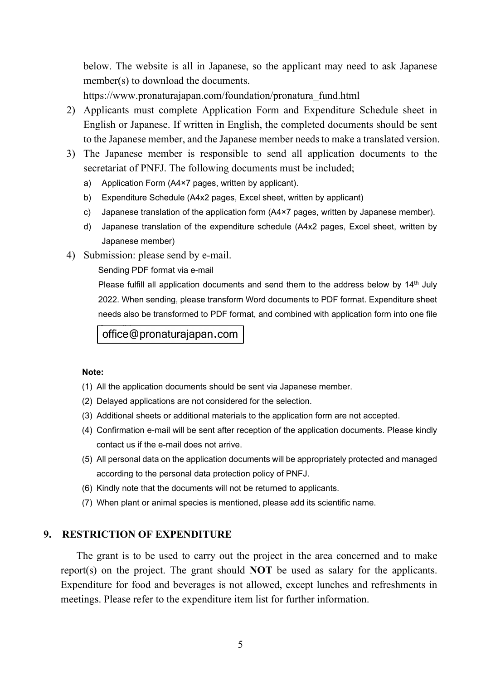below. The website is all in Japanese, so the applicant may need to ask Japanese member(s) to download the documents.

https://www.pronaturajapan.com/foundation/pronatura\_fund.html

- 2) Applicants must complete Application Form and Expenditure Schedule sheet in English or Japanese. If written in English, the completed documents should be sent to the Japanese member, and the Japanese member needs to make a translated version.
- 3) The Japanese member is responsible to send all application documents to the secretariat of PNFJ. The following documents must be included;
	- a) Application Form (A4×7 pages, written by applicant).
	- b) Expenditure Schedule (A4x2 pages, Excel sheet, written by applicant)
	- c) Japanese translation of the application form (A4×7 pages, written by Japanese member).
	- d) Japanese translation of the expenditure schedule (A4x2 pages, Excel sheet, written by Japanese member)
- 4) Submission: please send by e-mail.

Sending PDF format via e-mail

Please fulfill all application documents and send them to the address below by  $14<sup>th</sup>$  July 2022. When sending, please transform Word documents to PDF format. Expenditure sheet needs also be transformed to PDF format, and combined with application form into one file

office@pronaturajapan.com

#### **Note:**

- (1) All the application documents should be sent via Japanese member.
- (2) Delayed applications are not considered for the selection.
- (3) Additional sheets or additional materials to the application form are not accepted.
- (4) Confirmation e-mail will be sent after reception of the application documents. Please kindly contact us if the e-mail does not arrive.
- (5) All personal data on the application documents will be appropriately protected and managed according to the personal data protection policy of PNFJ.
- (6) Kindly note that the documents will not be returned to applicants.
- (7) When plant or animal species is mentioned, please add its scientific name.

#### **9. RESTRICTION OF EXPENDITURE**

The grant is to be used to carry out the project in the area concerned and to make report(s) on the project. The grant should **NOT** be used as salary for the applicants. Expenditure for food and beverages is not allowed, except lunches and refreshments in meetings. Please refer to the expenditure item list for further information.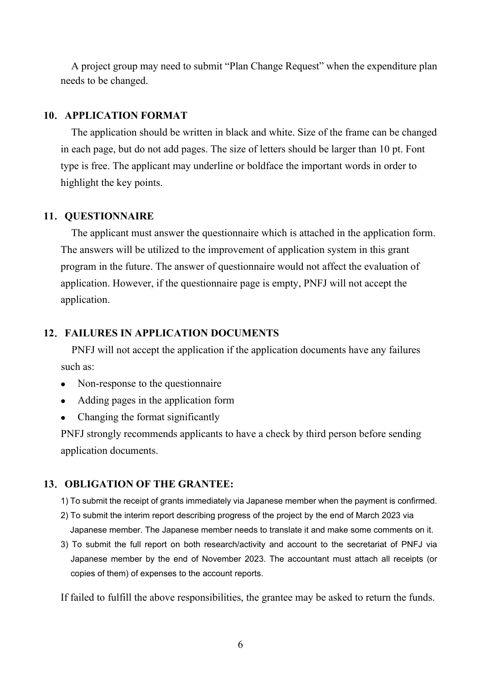A project group may need to submit "Plan Change Request" when the expenditure plan needs to be changed.

## **10**.**APPLICATION FORMAT**

 The application should be written in black and white. Size of the frame can be changed in each page, but do not add pages. The size of letters should be larger than 10 pt. Font type is free. The applicant may underline or boldface the important words in order to highlight the key points.

## **11**.**QUESTIONNAIRE**

 The applicant must answer the questionnaire which is attached in the application form. The answers will be utilized to the improvement of application system in this grant program in the future. The answer of questionnaire would not affect the evaluation of application. However, if the questionnaire page is empty, PNFJ will not accept the application.

## **12**.**FAILURES IN APPLICATION DOCUMENTS**

PNFJ will not accept the application if the application documents have any failures such as:

- Non-response to the questionnaire
- Adding pages in the application form
- Changing the format significantly

PNFJ strongly recommends applicants to have a check by third person before sending application documents.

## **13**.**OBLIGATION OF THE GRANTEE:**

1) To submit the receipt of grants immediately via Japanese member when the payment is confirmed.

- 2) To submit the interim report describing progress of the project by the end of March 2023 via Japanese member. The Japanese member needs to translate it and make some comments on it.
- 3) To submit the full report on both research/activity and account to the secretariat of PNFJ via Japanese member by the end of November 2023. The accountant must attach all receipts (or copies of them) of expenses to the account reports.

If failed to fulfill the above responsibilities, the grantee may be asked to return the funds.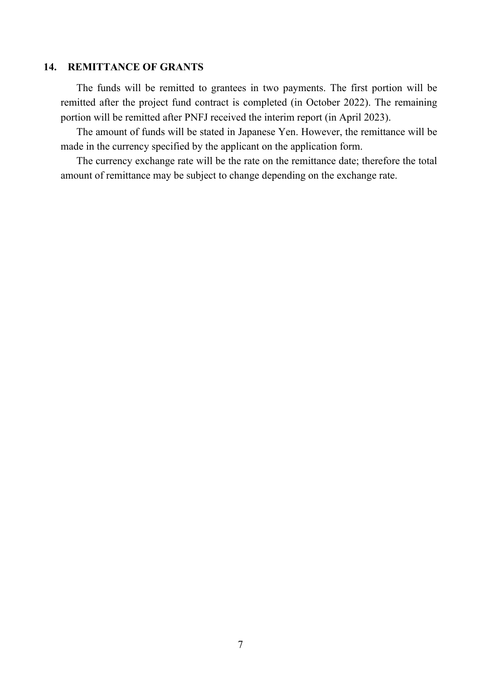#### **14. REMITTANCE OF GRANTS**

The funds will be remitted to grantees in two payments. The first portion will be remitted after the project fund contract is completed (in October 2022). The remaining portion will be remitted after PNFJ received the interim report (in April 2023).

The amount of funds will be stated in Japanese Yen. However, the remittance will be made in the currency specified by the applicant on the application form.

The currency exchange rate will be the rate on the remittance date; therefore the total amount of remittance may be subject to change depending on the exchange rate.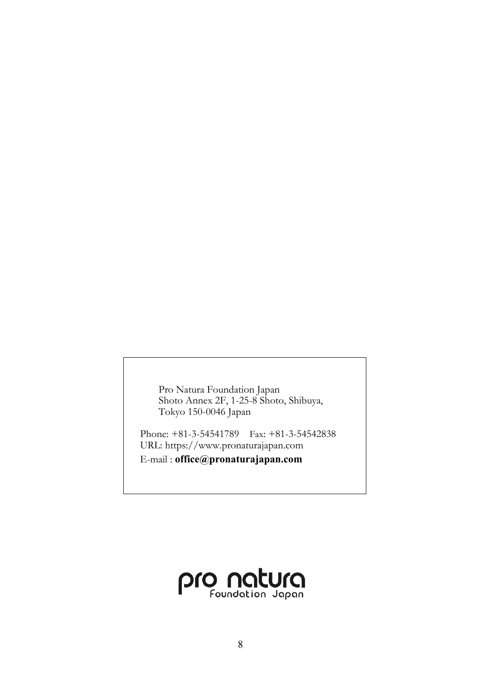Pro Natura Foundation Japan Shoto Annex 2F, 1-25-8 Shoto, Shibuya, Tokyo 150-0046 Japan

Phone: +81-3-54541789 Fax: +81-3-54542838 URL: https://www.pronaturajapan.com

E-mail : **office@pronaturajapan.com**